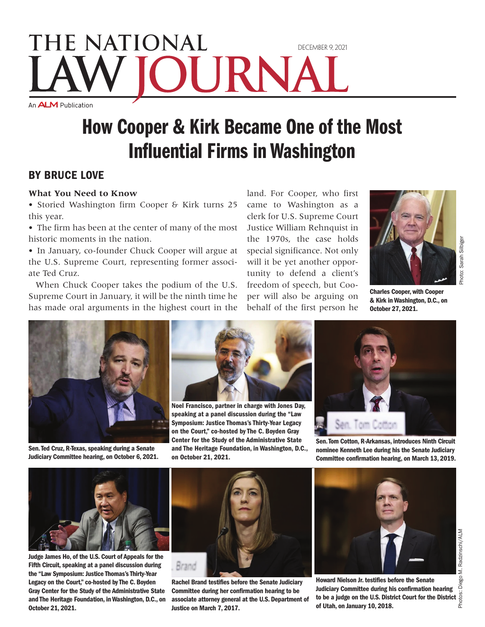## THE NATIONAL DECEMBER 9, 2021 URNA An **ALM** Publication

# How Cooper & Kirk Became One of the Most Influential Firms in Washington

### By Bruce Love

#### **What You Need to Know**

• Storied Washington firm Cooper & Kirk turns 25 this year.

• The firm has been at the center of many of the most historic moments in the nation.

• In January, co-founder Chuck Cooper will argue at the U.S. Supreme Court, representing former associate Ted Cruz.

When Chuck Cooper takes the podium of the U.S. Supreme Court in January, it will be the ninth time he has made oral arguments in the highest court in the

land. For Cooper, who first came to Washington as a clerk for U.S. Supreme Court Justice William Rehnquist in the 1970s, the case holds special significance. Not only will it be yet another opportunity to defend a client's freedom of speech, but Cooper will also be arguing on behalf of the first person he



Charles Cooper, with Cooper & Kirk in Washington, D.C., on October 27, 2021.



Sen. Ted Cruz, R-Texas, speaking during a Senate Judiciary Committee hearing, on October 6, 2021.



Noel Francisco, partner in charge with Jones Day, speaking at a panel discussion during the "Law Symposium: Justice Thomas's Thirty-Year Legacy on the Court," co-hosted by The C. Boyden Gray Center for the Study of the Administrative State and The Heritage Foundation, in Washington, D.C., on October 21, 2021.



Sen. Tom Cotton, R-Arkansas, introduces Ninth Circuit nominee Kenneth Lee during his the Senate Judiciary Committee confirmation hearing, on March 13, 2019.



Judge James Ho, of the U.S. Court of Appeals for the Fifth Circuit, speaking at a panel discussion during the "Law Symposium: Justice Thomas's Thirty-Year Legacy on the Court," co-hosted by The C. Boyden Gray Center for the Study of the Administrative State and The Heritage Foundation, in Washington, D.C., on October 21, 2021.



Rachel Brand testifies before the Senate Judiciary Committee during her confirmation hearing to be associate attorney general at the U.S. Department of Justice on March 7, 2017.



Howard Nielson Jr. testifies before the Senate Judiciary Committee during his confirmation hearing to be a judge on the U.S. District Court for the District  $\frac{5}{6}$ <br>of Utah. on January 10, 2018. of Utah, on January 10, 2018.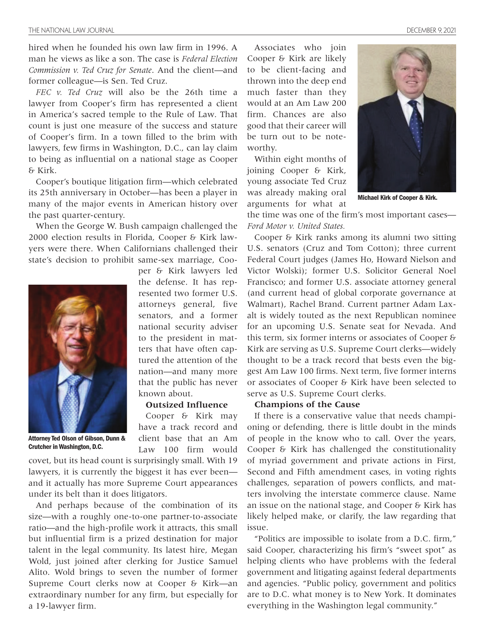hired when he founded his own law firm in 1996. A man he views as like a son. The case is *Federal Election Commission v. Ted Cruz for Senate*. And the client—and former colleague—is Sen. Ted Cruz.

*FEC v. Ted Cruz* will also be the 26th time a lawyer from Cooper's firm has represented a client in America's sacred temple to the Rule of Law. That count is just one measure of the success and stature of Cooper's firm. In a town filled to the brim with lawyers, few firms in Washington, D.C., can lay claim to being as influential on a national stage as Cooper & Kirk.

Cooper's boutique litigation firm—which celebrated its 25th anniversary in October—has been a player in many of the major events in American history over the past quarter-century.

When the George W. Bush campaign challenged the 2000 election results in Florida, Cooper & Kirk lawyers were there. When Californians challenged their state's decision to prohibit same-sex marriage, Coo-



Attorney Ted Olson of Gibson, Dunn & Crutcher in Washington, D.C.

the defense. It has represented two former U.S. attorneys general, five senators, and a former national security adviser to the president in matters that have often captured the attention of the nation—and many more that the public has never known about.

per & Kirk lawyers led

#### **Outsized Influence**

Cooper & Kirk may have a track record and client base that an Am Law 100 firm would

covet, but its head count is surprisingly small. With 19 lawyers, it is currently the biggest it has ever been and it actually has more Supreme Court appearances under its belt than it does litigators.

And perhaps because of the combination of its size—with a roughly one-to-one partner-to-associate ratio—and the high-profile work it attracts, this small but influential firm is a prized destination for major talent in the legal community. Its latest hire, Megan Wold, just joined after clerking for Justice Samuel Alito. Wold brings to seven the number of former Supreme Court clerks now at Cooper & Kirk—an extraordinary number for any firm, but especially for a 19-lawyer firm.

Associates who join Cooper & Kirk are likely to be client-facing and thrown into the deep end much faster than they would at an Am Law 200 firm. Chances are also good that their career will be turn out to be noteworthy.

Within eight months of joining Cooper & Kirk, young associate Ted Cruz was already making oral arguments for what at



Michael Kirk of Cooper & Kirk.

the time was one of the firm's most important cases— *Ford Motor v. United States.*

Cooper & Kirk ranks among its alumni two sitting U.S. senators (Cruz and Tom Cotton); three current Federal Court judges (James Ho, Howard Nielson and Victor Wolski); former U.S. Solicitor General Noel Francisco; and former U.S. associate attorney general (and current head of global corporate governance at Walmart), Rachel Brand. Current partner Adam Laxalt is widely touted as the next Republican nominee for an upcoming U.S. Senate seat for Nevada. And this term, six former interns or associates of Cooper & Kirk are serving as U.S. Supreme Court clerks—widely thought to be a track record that bests even the biggest Am Law 100 firms. Next term, five former interns or associates of Cooper & Kirk have been selected to serve as U.S. Supreme Court clerks.

#### **Champions of the Cause**

If there is a conservative value that needs championing or defending, there is little doubt in the minds of people in the know who to call. Over the years, Cooper & Kirk has challenged the constitutionality of myriad government and private actions in First, Second and Fifth amendment cases, in voting rights challenges, separation of powers conflicts, and matters involving the interstate commerce clause. Name an issue on the national stage, and Cooper & Kirk has likely helped make, or clarify, the law regarding that issue.

"Politics are impossible to isolate from a D.C. firm," said Cooper, characterizing his firm's "sweet spot" as helping clients who have problems with the federal government and litigating against federal departments and agencies. "Public policy, government and politics are to D.C. what money is to New York. It dominates everything in the Washington legal community."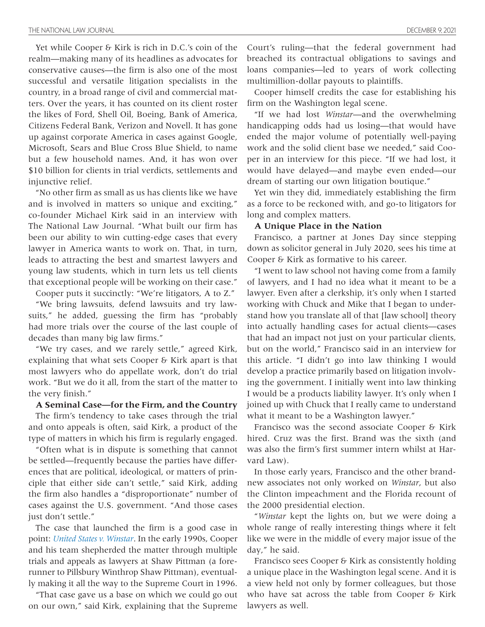Yet while Cooper & Kirk is rich in D.C.'s coin of the realm—making many of its headlines as advocates for conservative causes—the firm is also one of the most successful and versatile litigation specialists in the country, in a broad range of civil and commercial matters. Over the years, it has counted on its client roster the likes of Ford, Shell Oil, Boeing, Bank of America, Citizens Federal Bank, Verizon and Novell. It has gone up against corporate America in cases against Google, Microsoft, Sears and Blue Cross Blue Shield, to name but a few household names. And, it has won over \$10 billion for clients in trial verdicts, settlements and injunctive relief.

"No other firm as small as us has clients like we have and is involved in matters so unique and exciting," co-founder Michael Kirk said in an interview with The National Law Journal. "What built our firm has been our ability to win cutting-edge cases that every lawyer in America wants to work on. That, in turn, leads to attracting the best and smartest lawyers and young law students, which in turn lets us tell clients that exceptional people will be working on their case."

Cooper puts it succinctly: "We're litigators, A to Z."

"We bring lawsuits, defend lawsuits and try lawsuits," he added, guessing the firm has "probably had more trials over the course of the last couple of decades than many big law firms."

"We try cases, and we rarely settle," agreed Kirk, explaining that what sets Cooper & Kirk apart is that most lawyers who do appellate work, don't do trial work. "But we do it all, from the start of the matter to the very finish."

#### **A Seminal Case—for the Firm, and the Country**

The firm's tendency to take cases through the trial and onto appeals is often, said Kirk, a product of the type of matters in which his firm is regularly engaged.

"Often what is in dispute is something that cannot be settled—frequently because the parties have differences that are political, ideological, or matters of principle that either side can't settle," said Kirk, adding the firm also handles a "disproportionate" number of cases against the U.S. government. "And those cases just don't settle."

The case that launched the firm is a good case in point: *[United States v. Winstar](https://www.oyez.org/cases/1995/95-865)*. In the early 1990s, Cooper and his team shepherded the matter through multiple trials and appeals as lawyers at Shaw Pittman (a forerunner to Pillsbury Winthrop Shaw Pittman), eventually making it all the way to the Supreme Court in 1996.

"That case gave us a base on which we could go out on our own," said Kirk, explaining that the Supreme

Court's ruling—that the federal government had breached its contractual obligations to savings and loans companies—led to years of work collecting multimillion-dollar payouts to plaintiffs.

Cooper himself credits the case for establishing his firm on the Washington legal scene.

"If we had lost *Winstar*—and the overwhelming handicapping odds had us losing—that would have ended the major volume of potentially well-paying work and the solid client base we needed," said Cooper in an interview for this piece. "If we had lost, it would have delayed—and maybe even ended—our dream of starting our own litigation boutique."

Yet win they did, immediately establishing the firm as a force to be reckoned with, and go-to litigators for long and complex matters.

#### **A Unique Place in the Nation**

Francisco, a partner at Jones Day since stepping down as solicitor general in July 2020, sees his time at Cooper & Kirk as formative to his career.

"I went to law school not having come from a family of lawyers, and I had no idea what it meant to be a lawyer. Even after a clerkship, it's only when I started working with Chuck and Mike that I began to understand how you translate all of that [law school] theory into actually handling cases for actual clients—cases that had an impact not just on your particular clients, but on the world," Francisco said in an interview for this article. "I didn't go into law thinking I would develop a practice primarily based on litigation involving the government. I initially went into law thinking I would be a products liability lawyer. It's only when I joined up with Chuck that I really came to understand what it meant to be a Washington lawyer."

Francisco was the second associate Cooper & Kirk hired. Cruz was the first. Brand was the sixth (and was also the firm's first summer intern whilst at Harvard Law).

In those early years, Francisco and the other brandnew associates not only worked on *Winstar*, but also the Clinton impeachment and the Florida recount of the 2000 presidential election.

"*Winstar* kept the lights on, but we were doing a whole range of really interesting things where it felt like we were in the middle of every major issue of the day," he said.

Francisco sees Cooper & Kirk as consistently holding a unique place in the Washington legal scene. And it is a view held not only by former colleagues, but those who have sat across the table from Cooper & Kirk lawyers as well.